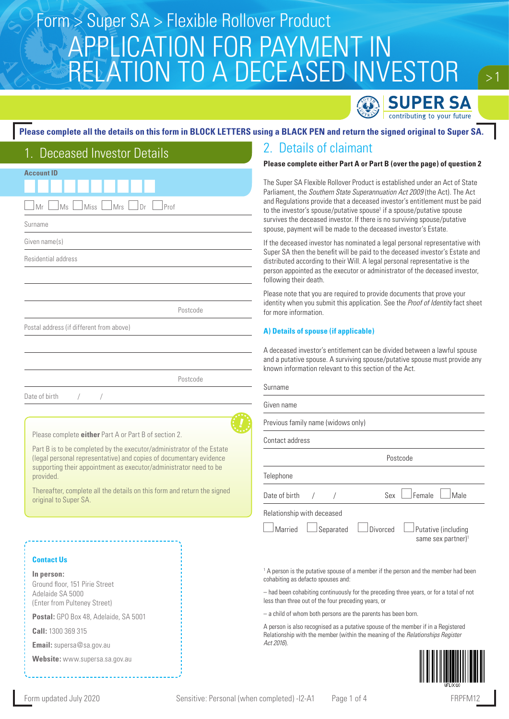# APPLICATION FOR PAYMENT IN RELATION TO A DECEASED INVESTOR Form > Super SA > Flexible Rollover Product



 $> 1$ 

### **Please complete all the details on this form in BLOCK LETTERS using a BLACK PEN and return the signed original to Super SA.**

| 1. Deceased Investor Details                                                                                                                                                                                                  |
|-------------------------------------------------------------------------------------------------------------------------------------------------------------------------------------------------------------------------------|
| <b>Account ID</b>                                                                                                                                                                                                             |
| Mrs<br>Mr<br>Ms<br>Miss<br>Prof<br>Dr                                                                                                                                                                                         |
| Surname                                                                                                                                                                                                                       |
| Given name(s)                                                                                                                                                                                                                 |
| <b>Residential address</b>                                                                                                                                                                                                    |
|                                                                                                                                                                                                                               |
|                                                                                                                                                                                                                               |
| Postcode                                                                                                                                                                                                                      |
| Postal address (if different from above)                                                                                                                                                                                      |
|                                                                                                                                                                                                                               |
|                                                                                                                                                                                                                               |
| Postcode                                                                                                                                                                                                                      |
| Date of birth<br>$\sqrt{2}$<br>$\sqrt{2}$                                                                                                                                                                                     |
|                                                                                                                                                                                                                               |
| Please complete <i>either</i> Part A or Part B of section 2.                                                                                                                                                                  |
| Part B is to be completed by the executor/administrator of the Estate<br>(legal personal representative) and copies of documentary evidence<br>supporting their appointment as executor/administrator need to be<br>provided. |
| Thereafter, complete all the details on this form and return the signed<br>original to Super SA.                                                                                                                              |

#### **Contact Us**

**In person:**

Ground floor, 151 Pirie Street Adelaide SA 5000 (Enter from Pulteney Street)

**Postal:** GPO Box 48, Adelaide, SA 5001

**Call:** 1300 369 315

**Email:** supersa@sa.gov.au

**Website:** www.supersa.sa.gov.au

## 2. Details of claimant

#### **Please complete either Part A or Part B (over the page) of question 2**

The Super SA Flexible Rollover Product is established under an Act of State Parliament, the *Southern State Superannuation Act 2009* (the Act). The Act and Regulations provide that a deceased investor's entitlement must be paid to the investor's spouse/putative spouse<sup>1</sup> if a spouse/putative spouse survives the deceased investor. If there is no surviving spouse/putative spouse, payment will be made to the deceased investor's Estate.

If the deceased investor has nominated a legal personal representative with Super SA then the benefit will be paid to the deceased investor's Estate and distributed according to their Will. A legal personal representative is the person appointed as the executor or administrator of the deceased investor, following their death.

Please note that you are required to provide documents that prove your identity when you submit this application. See the *Proof of Identity* fact sheet for more information.

#### **A) Details of spouse (if applicable)**

A deceased investor's entitlement can be divided between a lawful spouse and a putative spouse. A surviving spouse/putative spouse must provide any known information relevant to this section of the Act.

| Surname                                                               |                                                       |  |  |  |
|-----------------------------------------------------------------------|-------------------------------------------------------|--|--|--|
| Given name                                                            |                                                       |  |  |  |
| Previous family name (widows only)                                    |                                                       |  |  |  |
| Contact address                                                       |                                                       |  |  |  |
| Postcode                                                              |                                                       |  |  |  |
| Telephone                                                             |                                                       |  |  |  |
| Sex<br>Date of birth                                                  | Female<br>Male                                        |  |  |  |
| Relationship with deceased<br>Married<br><b>Divorced</b><br>Separated | Putative (including<br>same sex partner) <sup>1</sup> |  |  |  |

<sup>1</sup> A person is the putative spouse of a member if the person and the member had been cohabiting as defacto spouses and:

– had been cohabiting continuously for the preceding three years, or for a total of not less than three out of the four preceding years, or

– a child of whom both persons are the parents has been born.

A person is also recognised as a putative spouse of the member if in a Registered Relationship with the member (within the meaning of the *Relationships Register Act 2016*).

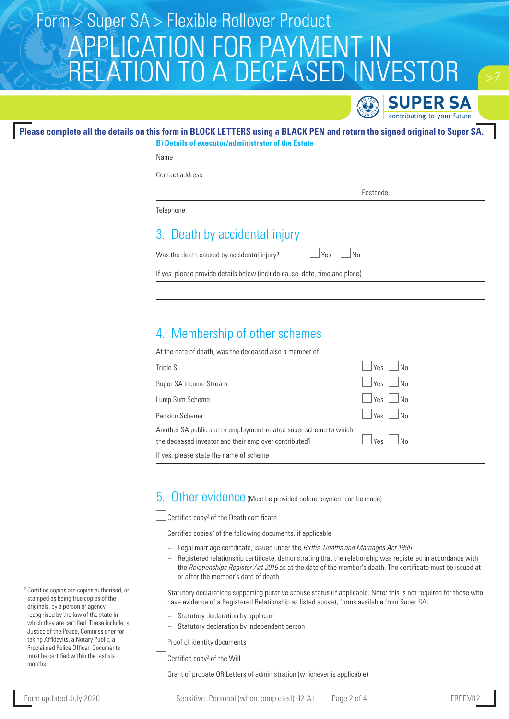# APPLICATION FOR PAYMEN RELATION TO A DECEASED INVESTOR Form > Super SA > Flexible Rollover Product



### **Please complete all the details on this form in BLOCK LETTERS using a BLACK PEN and return the signed original to Super SA.**

**B) Details of executor/administrator of the Estate** Name

Contact address

Postcode

**Telephone** 

## 3. Death by accidental injury

Was the death caused by accidental injury?  $\Box$  Yes  $\Box$  No

If yes, please provide details below (include cause, date, time and place)

## 4. Membership of other schemes

At the date of death, was the deceased also a member of:

| Triple S                                                                                                                   | N <sub>0</sub><br>Yes |
|----------------------------------------------------------------------------------------------------------------------------|-----------------------|
| Super SA Income Stream                                                                                                     | Yes<br>N <sub>0</sub> |
| Lump Sum Scheme                                                                                                            | $Yes$ $No$            |
| Pension Scheme                                                                                                             | $Yes$ $No$            |
| Another SA public sector employment-related super scheme to which<br>the deceased investor and their employer contributed? | $Yes$ $\Box$ No       |
| If yes, please state the name of scheme                                                                                    |                       |

### 5. Other evidence (Must be provided before payment can be made)

Certified copy2 of the Death certificate

Certified copies<sup>2</sup> of the following documents, if applicable

- − Legal marriage certificate, issued under the *Births, Deaths and Marriages Act 1996*
- − Registered relationship certificate, demonstrating that the relationship was registered in accordance with the *Relationships Register Act 2016* as at the date of the member's death. The certificate must be issued at or after the member's date of death.
- $\rfloor$ Statutory declarations supporting putative spouse status (if applicable. Note: this is not required for those who have evidence of a Registered Relationship as listed above), forms available from Super SA.
	- Statutory declaration by applicant
	- − Statutory declaration by independent person

Proof of identity documents

Certified copy2 of the Will

Grant of probate OR Letters of administration (whichever is applicable)

<sup>2</sup> Certified copies are copies authorised, or stamped as being true copies of the originals, by a person or agency recognised by the law of the state in which they are certified. These include: a Justice of the Peace, Commissioner for taking Affidavits, a Notary Public, a Proclaimed Police Officer. Documents must be certified within the last six months.

Form updated July 2020 Sensitive: Personal (when completed) -I2-A1 Page 2 of 4 FRPFM1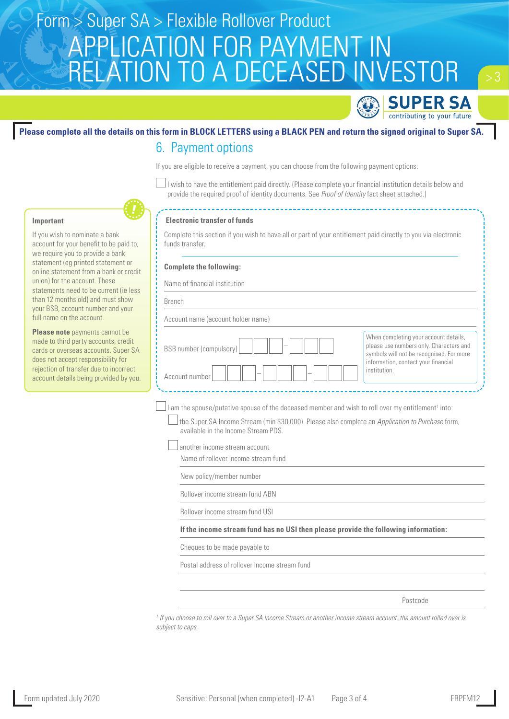# APPLICATION FOR PAYMENT IN RELATION TO A DECEASED INVESTOR Form > Super SA > Flexible Rollover Product



## **Please complete all the details on this form in BLOCK LETTERS using a BLACK PEN and return the signed original to Super SA.** 6. Payment options

If you are eligible to receive a payment, you can choose from the following payment options:

 $\perp$ I wish to have the entitlement paid directly. (Please complete your financial institution details below and provide the required proof of identity documents. See *Proof of Identity* fact sheet attached.)



#### **Electronic transfer of funds**

Complete this section if you wish to have all or part of your entitlement paid directly to you via electronic funds transfer.

#### **Complete the following:**

Name of financial institution

Branch

Account name (account holder name)

| BSB number (compulsory) | When completing your account details,<br>please use numbers only. Characters and<br>symbols will not be recognised. For more |  |
|-------------------------|------------------------------------------------------------------------------------------------------------------------------|--|
| Account number          | information, contact your financial<br>institution.                                                                          |  |

I am the spouse/putative spouse of the deceased member and wish to roll over my entitlement<sup>1</sup> into:

 the Super SA Income Stream (min \$30,000). Please also complete an *Application to Purchase* form, available in the Income Stream PDS.

another income stream account

Name of rollover income stream fund

New policy/member number

Rollover income stream fund ABN

Rollover income stream fund USI

**If the income stream fund has no USI then please provide the following information:**

Cheques to be made payable to

Postal address of rollover income stream fund

Postcode

*1 If you choose to roll over to a Super SA Income Stream or another income stream account, the amount rolled over is subject to caps.*

### **Important**

If you wish to nominate a bank account for your benefit to be paid to, we require you to provide a bank statement (eg printed statement or online statement from a bank or credit union) for the account. These statements need to be current (ie less than 12 months old) and must show your BSB, account number and your full name on the account.

**Please note** payments cannot be made to third party accounts, credit cards or overseas accounts. Super SA does not accept responsibility for rejection of transfer due to incorrect account details being provided by you.